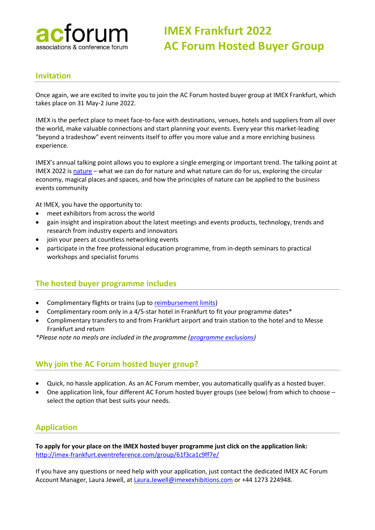

# **IMEX Frankfurt 2022 AC Forum Hosted Buyer Group**

# **Invitation**

Once again, we are excited to invite you to join the AC Forum hosted buyer group at IMEX Frankfurt, which takes place on 31 May-2 June 2022.

IMEX is the perfect place to meet face-to-face with destinations, venues, hotels and suppliers from all over the world, make valuable connections and start planning your events. Every year this market-leading "beyond a tradeshow" event reinvents itself to offer you more value and a more enriching business experience.

IMEX's annual talking point allows you to explore a single emerging or important trend. The talking point at IMEX 2022 is [nature](https://www.imex-frankfurt.com/nature) – what we can do for nature and what nature can do for us, exploring the circular economy, magical places and spaces, and how the principles of nature can be applied to the business events community

At IMEX, you have the opportunity to:

- meet exhibitors from across the world
- gain insight and inspiration about the latest meetings and events products, technology, trends and research from industry experts and innovators
- join your peers at countless networking events
- participate in the free professional education programme, from in-depth seminars to practical workshops and specialist forums

#### **The hosted buyer programme includes**

- Complimentary flights or trains (up to [reimbursement limits\)](https://www.imex-frankfurt.com/travel-reimbursement-explained#travel-reimbursement-limits)
- Complimentary room only in a 4/5-star hotel in Frankfurt to fit your programme dates\*
- Complimentary transfers to and from Frankfurt airport and train station to the hotel and to Messe Frankfurt and return

*\*Please note no meals are included in the programme [\(programme exclusions\)](https://www.imex-frankfurt.com/hosted-buyer-programme-terms-and-conditions#programme-exclusions)*

#### **Why join the AC Forum hosted buyer group?**

- Quick, no hassle application. As an AC Forum member, you automatically qualify as a hosted buyer.
- One application link, four different AC Forum hosted buyer groups (see below) from which to choose select the option that best suits your needs.

# **Application**

**To apply for your place on the IMEX hosted buyer programme just click on the application link:**  [http://imex-frankfurt.eventreference.com/group/61f3ca1c9ff7e/](https://eur01.safelinks.protection.outlook.com/?url=http%3A%2F%2Fimex-frankfurt.eventreference.com%2Fgroup%2F61f3ca1c9ff7e%2F&data=04%7C01%7Csecretariat%40acforum.net%7C43f8791ba61640428a0908d9e251a0c4%7Cb5ec2cf4cdf245948e823732b4db6b46%7C0%7C0%7C637789665839574461%7CUnknown%7CTWFpbGZsb3d8eyJWIjoiMC4wLjAwMDAiLCJQIjoiV2luMzIiLCJBTiI6Ik1haWwiLCJXVCI6Mn0%3D%7C2000&sdata=v6kgh6tg5aT2cnSuxhcnSX2y8xewV1LPFbV2w69BpUw%3D&reserved=0)

If you have any questions or need help with your application, just contact the dedicated IMEX AC Forum Account Manager, Laura Jewell, a[t Laura.Jewell@imexexhibitions.com](mailto:Laura.Jewell@imexexhibitions.com) or +44 1273 224948.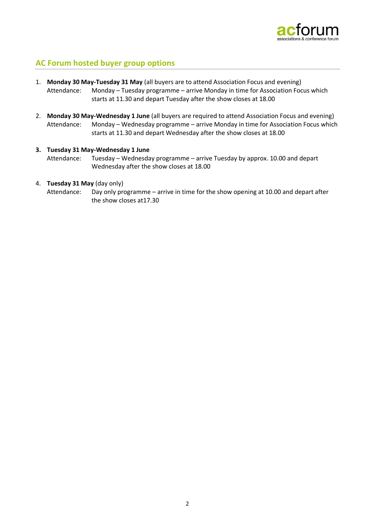

# **AC Forum hosted buyer group options**

- 1. **Monday 30 May-Tuesday 31 May** (all buyers are to attend Association Focus and evening) Attendance: Monday – Tuesday programme – arrive Monday in time for Association Focus which starts at 11.30 and depart Tuesday after the show closes at 18.00
- 2. **Monday 30 May-Wednesday 1 June** (all buyers are required to attend Association Focus and evening) Attendance: Monday – Wednesday programme – arrive Monday in time for Association Focus which starts at 11.30 and depart Wednesday after the show closes at 18.00
- **3. Tuesday 31 May-Wednesday 1 June**  Attendance: Tuesday – Wednesday programme – arrive Tuesday by approx. 10.00 and depart Wednesday after the show closes at 18.00
- 4. **Tuesday 31 May** (day only)

Attendance: Day only programme – arrive in time for the show opening at 10.00 and depart after the show closes at17.30